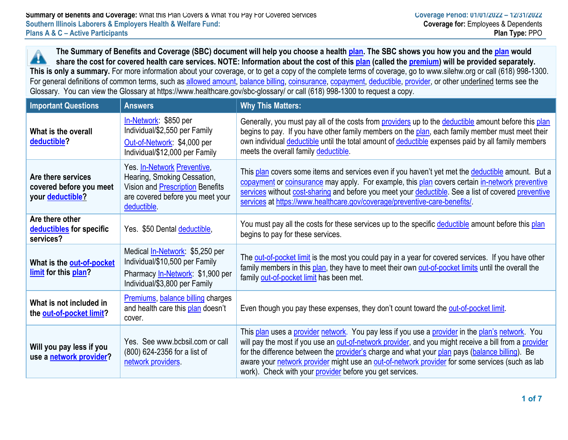**The Summary of Benefits and Coverage (SBC) document will help you choose a health plan. The SBC shows you how you and the plan would** 44 **share the cost for covered health care services. NOTE: Information about the cost of this plan (called the premium) will be provided separately. This is only a summary.** For more information about your coverage, or to get a copy of the complete terms of coverage, go to www.silehw.org or call (618) 998-1300. For general definitions of common terms, such as allowed amount, balance billing, coinsurance, copayment, deductible, provider, or other underlined terms see the Glossary. You can view the Glossary at https://www.healthcare.gov/sbc-glossary/ or call (618) 998-1300 to request a copy.

| <b>Important Questions</b>                                        | <b>Answers</b>                                                                                                                                           | <b>Why This Matters:</b>                                                                                                                                                                                                                                                                                                                                                                                                                                                   |
|-------------------------------------------------------------------|----------------------------------------------------------------------------------------------------------------------------------------------------------|----------------------------------------------------------------------------------------------------------------------------------------------------------------------------------------------------------------------------------------------------------------------------------------------------------------------------------------------------------------------------------------------------------------------------------------------------------------------------|
| What is the overall<br>deductible?                                | In-Network: \$850 per<br>Individual/\$2,550 per Family<br>Out-of-Network: \$4,000 per<br>Individual/\$12,000 per Family                                  | Generally, you must pay all of the costs from providers up to the deductible amount before this plan<br>begins to pay. If you have other family members on the plan, each family member must meet their<br>own individual deductible until the total amount of deductible expenses paid by all family members<br>meets the overall family deductible.                                                                                                                      |
| Are there services<br>covered before you meet<br>your deductible? | Yes. In-Network Preventive,<br>Hearing, Smoking Cessation,<br>Vision and <b>Prescription</b> Benefits<br>are covered before you meet your<br>deductible. | This plan covers some items and services even if you haven't yet met the deductible amount. But a<br>copayment or coinsurance may apply. For example, this plan covers certain in-network preventive<br>services without cost-sharing and before you meet your deductible. See a list of covered preventive<br>services at https://www.healthcare.gov/coverage/preventive-care-benefits/                                                                                   |
| Are there other<br>deductibles for specific<br>services?          | Yes. \$50 Dental deductible,                                                                                                                             | You must pay all the costs for these services up to the specific deductible amount before this plan<br>begins to pay for these services.                                                                                                                                                                                                                                                                                                                                   |
| What is the out-of-pocket<br>limit for this plan?                 | Medical <i>In-Network</i> : \$5,250 per<br>Individual/\$10,500 per Family<br>Pharmacy In-Network: \$1,900 per<br>Individual/\$3,800 per Family           | The out-of-pocket limit is the most you could pay in a year for covered services. If you have other<br>family members in this plan, they have to meet their own out-of-pocket limits until the overall the<br>family out-of-pocket limit has been met.                                                                                                                                                                                                                     |
| What is not included in<br>the out-of-pocket limit?               | <b>Premiums, balance billing charges</b><br>and health care this plan doesn't<br>cover.                                                                  | Even though you pay these expenses, they don't count toward the out-of-pocket limit.                                                                                                                                                                                                                                                                                                                                                                                       |
| Will you pay less if you<br>use a network provider?               | Yes. See www.bcbsil.com or call<br>(800) 624-2356 for a list of<br>network providers                                                                     | This plan uses a provider network. You pay less if you use a provider in the plan's network. You<br>will pay the most if you use an out-of-network provider, and you might receive a bill from a provider<br>for the difference between the provider's charge and what your plan pays (balance billing). Be<br>aware your network provider might use an out-of-network provider for some services (such as lab<br>work). Check with your provider before you get services. |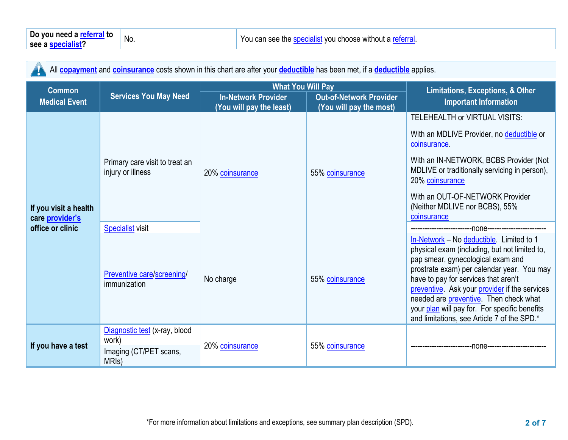All **copayment** and **coinsurance** costs shown in this chart are after your **deductible** has been met, if a **deductible** applies. 'N

| <b>Common</b>                                                       |                                                                           | <b>What You Will Pay</b>                                                                                            |                 | Limitations, Exceptions, & Other                                                                                                                                                                                                                                                                                                                                                                                        |  |
|---------------------------------------------------------------------|---------------------------------------------------------------------------|---------------------------------------------------------------------------------------------------------------------|-----------------|-------------------------------------------------------------------------------------------------------------------------------------------------------------------------------------------------------------------------------------------------------------------------------------------------------------------------------------------------------------------------------------------------------------------------|--|
| <b>Medical Event</b>                                                | <b>Services You May Need</b>                                              | <b>In-Network Provider</b><br><b>Out-of-Network Provider</b><br>(You will pay the least)<br>(You will pay the most) |                 | <b>Important Information</b>                                                                                                                                                                                                                                                                                                                                                                                            |  |
|                                                                     |                                                                           |                                                                                                                     |                 | TELEHEALTH or VIRTUAL VISITS:                                                                                                                                                                                                                                                                                                                                                                                           |  |
|                                                                     |                                                                           | 20% coinsurance                                                                                                     | 55% coinsurance | With an MDLIVE Provider, no deductible or<br>coinsurance.                                                                                                                                                                                                                                                                                                                                                               |  |
| If you visit a health<br>care <i>provider's</i><br>office or clinic | Primary care visit to treat an<br>injury or illness                       |                                                                                                                     |                 | With an IN-NETWORK, BCBS Provider (Not<br>MDLIVE or traditionally servicing in person),<br>20% coinsurance                                                                                                                                                                                                                                                                                                              |  |
|                                                                     |                                                                           |                                                                                                                     |                 | With an OUT-OF-NETWORK Provider<br>(Neither MDLIVE nor BCBS), 55%<br>coinsurance                                                                                                                                                                                                                                                                                                                                        |  |
|                                                                     | <b>Specialist visit</b>                                                   |                                                                                                                     |                 |                                                                                                                                                                                                                                                                                                                                                                                                                         |  |
|                                                                     | Preventive care/screening/<br>immunization                                | No charge                                                                                                           | 55% coinsurance | In-Network - No deductible. Limited to 1<br>physical exam (including, but not limited to,<br>pap smear, gynecological exam and<br>prostrate exam) per calendar year. You may<br>have to pay for services that aren't<br>preventive. Ask your provider if the services<br>needed are <b>preventive</b> . Then check what<br>your plan will pay for. For specific benefits<br>and limitations, see Article 7 of the SPD.* |  |
| If you have a test                                                  | Diagnostic test (x-ray, blood<br>work)<br>Imaging (CT/PET scans,<br>MRIs) | 20% coinsurance                                                                                                     | 55% coinsurance |                                                                                                                                                                                                                                                                                                                                                                                                                         |  |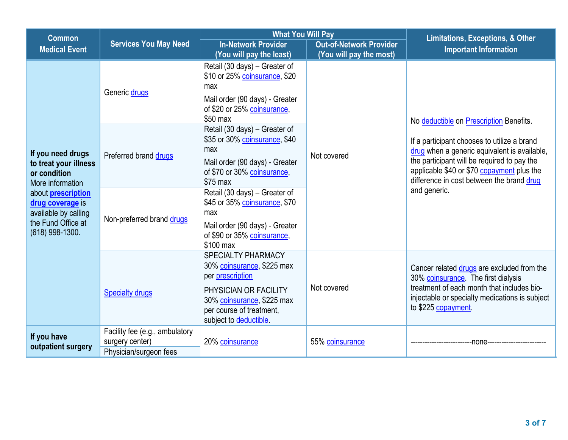| <b>Common</b>                                                                                                  |                                                                             | <b>What You Will Pay</b>                                                                                                                                                                 |                 | <b>Limitations, Exceptions, &amp; Other</b>                                                                                                                                                                                           |  |
|----------------------------------------------------------------------------------------------------------------|-----------------------------------------------------------------------------|------------------------------------------------------------------------------------------------------------------------------------------------------------------------------------------|-----------------|---------------------------------------------------------------------------------------------------------------------------------------------------------------------------------------------------------------------------------------|--|
| <b>Medical Event</b>                                                                                           | <b>Services You May Need</b>                                                | <b>In-Network Provider</b><br><b>Out-of-Network Provider</b><br>(You will pay the most)<br>(You will pay the least)                                                                      |                 | <b>Important Information</b>                                                                                                                                                                                                          |  |
|                                                                                                                | Generic drugs                                                               | Retail (30 days) - Greater of<br>\$10 or 25% coinsurance, \$20<br>max<br>Mail order (90 days) - Greater<br>of \$20 or 25% coinsurance,<br>\$50 max                                       |                 | No deductible on Prescription Benefits.                                                                                                                                                                                               |  |
| If you need drugs<br>to treat your illness<br>or condition<br>More information                                 | Preferred brand drugs                                                       | Retail (30 days) – Greater of<br>\$35 or 30% coinsurance, \$40<br>max<br>Mail order (90 days) - Greater<br>of \$70 or 30% coinsurance,<br>\$75 max                                       | Not covered     | If a participant chooses to utilize a brand<br>drug when a generic equivalent is available,<br>the participant will be required to pay the<br>applicable \$40 or \$70 copayment plus the<br>difference in cost between the brand drug |  |
| about <b>prescription</b><br>drug coverage is<br>available by calling<br>the Fund Office at<br>(618) 998-1300. | Non-preferred brand drugs                                                   | Retail (30 days) - Greater of<br>\$45 or 35% coinsurance, \$70<br>max<br>Mail order (90 days) - Greater<br>of \$90 or 35% coinsurance,<br>\$100 max                                      |                 | and generic.                                                                                                                                                                                                                          |  |
|                                                                                                                | <b>Specialty drugs</b>                                                      | <b>SPECIALTY PHARMACY</b><br>30% coinsurance, \$225 max<br>per prescription<br>PHYSICIAN OR FACILITY<br>30% coinsurance, \$225 max<br>per course of treatment,<br>subject to deductible. | Not covered     | Cancer related drugs are excluded from the<br>30% coinsurance. The first dialysis<br>treatment of each month that includes bio-<br>injectable or specialty medications is subject<br>to \$225 copayment.                              |  |
| If you have<br>outpatient surgery                                                                              | Facility fee (e.g., ambulatory<br>surgery center)<br>Physician/surgeon fees | 20% coinsurance                                                                                                                                                                          | 55% coinsurance | -none----------------                                                                                                                                                                                                                 |  |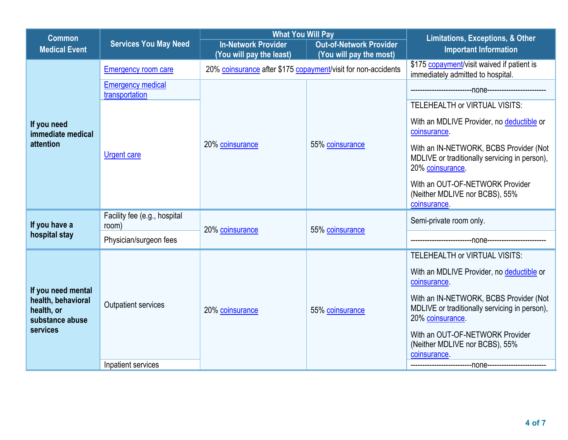| <b>Common</b>                                                                         |                                            | <b>What You Will Pay</b>                                      |                                                           | <b>Limitations, Exceptions, &amp; Other</b>                                                                 |
|---------------------------------------------------------------------------------------|--------------------------------------------|---------------------------------------------------------------|-----------------------------------------------------------|-------------------------------------------------------------------------------------------------------------|
| <b>Medical Event</b>                                                                  | <b>Services You May Need</b>               | <b>In-Network Provider</b><br>(You will pay the least)        | <b>Out-of-Network Provider</b><br>(You will pay the most) | <b>Important Information</b>                                                                                |
|                                                                                       | <b>Emergency room care</b>                 | 20% coinsurance after \$175 copayment/visit for non-accidents |                                                           | \$175 copayment/visit waived if patient is<br>immediately admitted to hospital.                             |
|                                                                                       | <b>Emergency medical</b><br>transportation |                                                               |                                                           |                                                                                                             |
|                                                                                       |                                            |                                                               |                                                           | TELEHEALTH or VIRTUAL VISITS:                                                                               |
| If you need<br>immediate medical                                                      |                                            | 20% coinsurance                                               | 55% coinsurance                                           | With an MDLIVE Provider, no deductible or<br>coinsurance.                                                   |
| attention                                                                             | <b>Urgent care</b>                         |                                                               |                                                           | With an IN-NETWORK, BCBS Provider (Not<br>MDLIVE or traditionally servicing in person),<br>20% coinsurance. |
|                                                                                       |                                            |                                                               |                                                           | With an OUT-OF-NETWORK Provider<br>(Neither MDLIVE nor BCBS), 55%<br>coinsurance.                           |
| If you have a                                                                         | Facility fee (e.g., hospital<br>room)      | 20% coinsurance                                               | 55% coinsurance                                           | Semi-private room only.                                                                                     |
| hospital stay                                                                         | Physician/surgeon fees                     |                                                               |                                                           |                                                                                                             |
|                                                                                       |                                            |                                                               |                                                           | TELEHEALTH or VIRTUAL VISITS:                                                                               |
| If you need mental<br>health, behavioral<br>health, or<br>substance abuse<br>services | Outpatient services<br>20% coinsurance     |                                                               | 55% coinsurance                                           | With an MDLIVE Provider, no deductible or<br>coinsurance.                                                   |
|                                                                                       |                                            |                                                               |                                                           | With an IN-NETWORK, BCBS Provider (Not<br>MDLIVE or traditionally servicing in person),<br>20% coinsurance. |
|                                                                                       |                                            |                                                               |                                                           | With an OUT-OF-NETWORK Provider<br>(Neither MDLIVE nor BCBS), 55%<br>coinsurance.                           |
|                                                                                       | Inpatient services                         |                                                               |                                                           |                                                                                                             |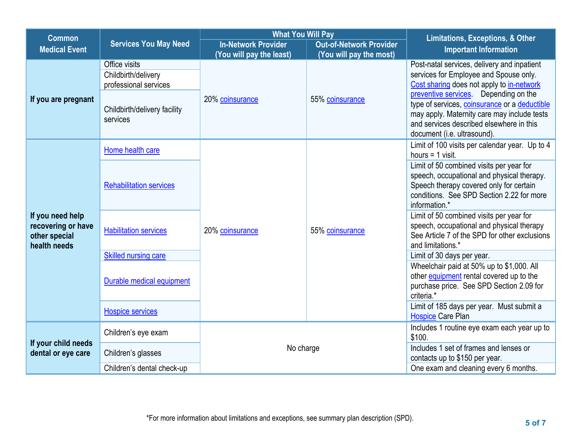| <b>Common</b>                                                           |                                                                                                           | <b>What You Will Pay</b>                               |                                                           | <b>Limitations, Exceptions, &amp; Other</b>                                                                                                                                                                                                                                                                                                            |
|-------------------------------------------------------------------------|-----------------------------------------------------------------------------------------------------------|--------------------------------------------------------|-----------------------------------------------------------|--------------------------------------------------------------------------------------------------------------------------------------------------------------------------------------------------------------------------------------------------------------------------------------------------------------------------------------------------------|
| <b>Medical Event</b>                                                    | <b>Services You May Need</b>                                                                              | <b>In-Network Provider</b><br>(You will pay the least) | <b>Out-of-Network Provider</b><br>(You will pay the most) | <b>Important Information</b>                                                                                                                                                                                                                                                                                                                           |
| If you are pregnant                                                     | Office visits<br>Childbirth/delivery<br>professional services<br>Childbirth/delivery facility<br>services | 20% coinsurance                                        | 55% coinsurance                                           | Post-natal services, delivery and inpatient<br>services for Employee and Spouse only.<br>Cost sharing does not apply to in-network<br>preventive services. Depending on the<br>type of services, coinsurance or a deductible<br>may apply. Maternity care may include tests<br>and services described elsewhere in this<br>document (i.e. ultrasound). |
|                                                                         | Home health care                                                                                          |                                                        |                                                           | Limit of 100 visits per calendar year. Up to 4<br>hours $=$ 1 visit.                                                                                                                                                                                                                                                                                   |
| If you need help<br>recovering or have<br>other special<br>health needs | <b>Rehabilitation services</b>                                                                            | 20% coinsurance                                        | 55% coinsurance                                           | Limit of 50 combined visits per year for<br>speech, occupational and physical therapy.<br>Speech therapy covered only for certain<br>conditions. See SPD Section 2.22 for more<br>information.*                                                                                                                                                        |
|                                                                         | <b>Habilitation services</b>                                                                              |                                                        |                                                           | Limit of 50 combined visits per year for<br>speech, occupational and physical therapy<br>See Article 7 of the SPD for other exclusions<br>and limitations.*                                                                                                                                                                                            |
|                                                                         | Skilled nursing care                                                                                      |                                                        |                                                           | Limit of 30 days per year.                                                                                                                                                                                                                                                                                                                             |
|                                                                         | Durable medical equipment                                                                                 |                                                        |                                                           | Wheelchair paid at 50% up to \$1,000. All<br>other equipment rental covered up to the<br>purchase price. See SPD Section 2.09 for<br>criteria.*                                                                                                                                                                                                        |
|                                                                         | <b>Hospice services</b>                                                                                   |                                                        |                                                           | Limit of 185 days per year. Must submit a<br><b>Hospice Care Plan</b>                                                                                                                                                                                                                                                                                  |
|                                                                         | Children's eye exam                                                                                       |                                                        |                                                           | Includes 1 routine eye exam each year up to<br>\$100.                                                                                                                                                                                                                                                                                                  |
| If your child needs<br>dental or eye care                               | Children's glasses                                                                                        | No charge                                              |                                                           | Includes 1 set of frames and lenses or<br>contacts up to \$150 per year.                                                                                                                                                                                                                                                                               |
|                                                                         | Children's dental check-up                                                                                |                                                        |                                                           | One exam and cleaning every 6 months.                                                                                                                                                                                                                                                                                                                  |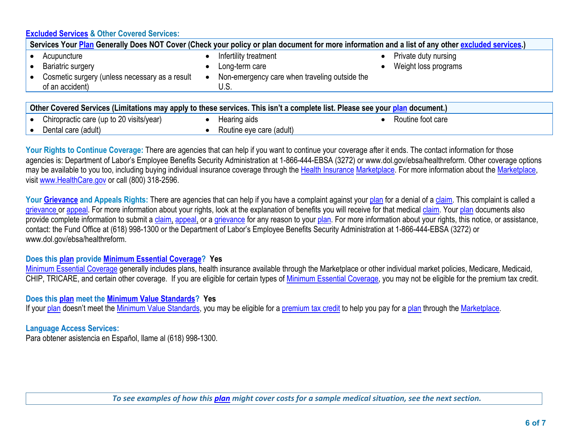## **Excluded Services & Other Covered Services:**

| Services Your Plan Generally Does NOT Cover (Check your policy or plan document for more information and a list of any other excluded services.)                                                                                                                                                              |                                                       |                                              |  |  |
|---------------------------------------------------------------------------------------------------------------------------------------------------------------------------------------------------------------------------------------------------------------------------------------------------------------|-------------------------------------------------------|----------------------------------------------|--|--|
| Acupuncture<br><b>Bariatric surgery</b>                                                                                                                                                                                                                                                                       | Infertility treatment<br>Long-term care               | Private duty nursing<br>Weight loss programs |  |  |
| Cosmetic surgery (unless necessary as a result<br>of an accident)                                                                                                                                                                                                                                             | Non-emergency care when traveling outside the<br>U.S. |                                              |  |  |
|                                                                                                                                                                                                                                                                                                               |                                                       |                                              |  |  |
| Other Covered Services (Limitations may apply to these services. This isn't a complete list. Please see your plan document.)                                                                                                                                                                                  |                                                       |                                              |  |  |
| $\mathbf{r}$ , and $\mathbf{r}$ , $\mathbf{r}$ , $\mathbf{r}$ , $\mathbf{r}$ , $\mathbf{r}$ , $\mathbf{r}$ , $\mathbf{r}$ , $\mathbf{r}$ , $\mathbf{r}$ , $\mathbf{r}$ , $\mathbf{r}$ , $\mathbf{r}$ , $\mathbf{r}$ , $\mathbf{r}$ , $\mathbf{r}$ , $\mathbf{r}$ , $\mathbf{r}$ , $\mathbf{r}$ , $\mathbf{r}$ |                                                       |                                              |  |  |

|           | Chiropractic care (up to 20 visits/year) | Hearing aids             | Routine foot care |
|-----------|------------------------------------------|--------------------------|-------------------|
| $\bullet$ | Dental care (adult)                      | Routine eye care (adult) |                   |
|           |                                          |                          |                   |

Your Rights to Continue Coverage: There are agencies that can help if you want to continue your coverage after it ends. The contact information for those agencies is: Department of Labor's Employee Benefits Security Administration at 1-866-444-EBSA (3272) or www.dol.gov/ebsa/healthreform. Other coverage options may be available to you too, including buying individual insurance coverage through the Health Insurance Marketplace. For more information about the Marketplace, visit www.HealthCare.gov or call (800) 318-2596.

Your Grievance and Appeals Rights: There are agencies that can help if you have a complaint against your plan for a denial of a claim. This complaint is called a grievance or appeal. For more information about your rights, look at the explanation of benefits you will receive for that medical claim. Your plan documents also provide complete information to submit a claim, appeal, or a grievance for any reason to your plan. For more information about your rights, this notice, or assistance, contact: the Fund Office at (618) 998-1300 or the Department of Labor's Employee Benefits Security Administration at 1-866-444-EBSA (3272) or www.dol.gov/ebsa/healthreform.

### **Does this plan provide Minimum Essential Coverage? Yes**

Minimum Essential Coverage generally includes plans, health insurance available through the Marketplace or other individual market policies, Medicare, Medicaid, CHIP, TRICARE, and certain other coverage. If you are eligible for certain types of Minimum Essential Coverage, you may not be eligible for the premium tax credit.

### **Does this plan meet the Minimum Value Standards? Yes**

If your plan doesn't meet the Minimum Value Standards, you may be eligible for a premium tax credit to help you pay for a plan through the Marketplace.

## **Language Access Services:**

Para obtener asistencia en Español, llame al (618) 998-1300.